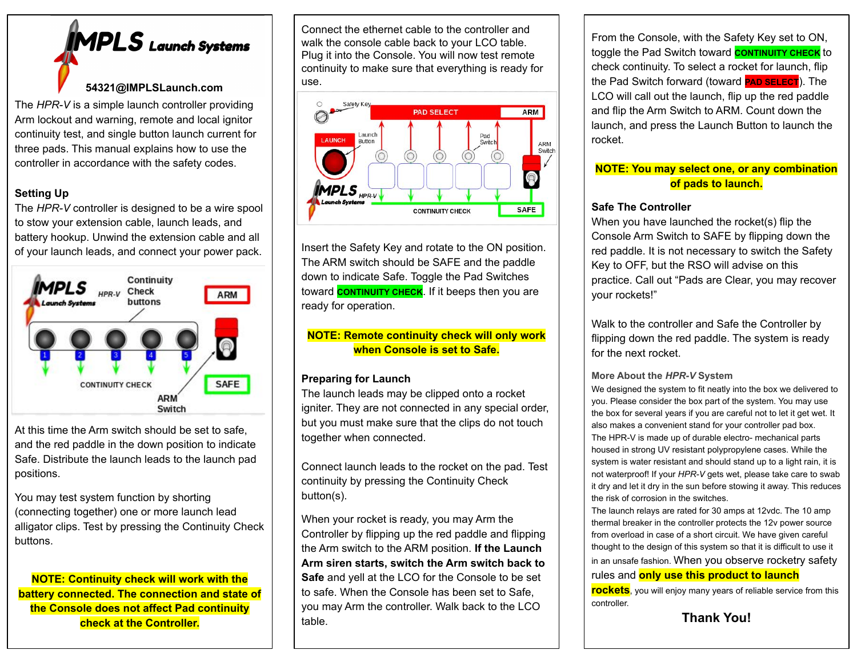# **MPLS** Launch Systems

#### **54321@IMPLSLaunch.com**

The *HPR-V* is a simple launch controller providing Arm lockout and warning, remote and local ignitor continuity test, and single button launch current for three pads. This manual explains how to use the controller in accordance with the safety codes.

#### **Setting Up**

The *HPR-V* controller is designed to be a wire spool to stow your extension cable, launch leads, and battery hookup. Unwind the extension cable and all of your launch leads, and connect your power pack.



At this time the Arm switch should be set to safe, and the red paddle in the down position to indicate Safe. Distribute the launch leads to the launch pad positions.

You may test system function by shorting (connecting together) one or more launch lead alligator clips. Test by pressing the Continuity Check buttons.

**NOTE: Continuity check will work with the battery connected. The connection and state of the Console does not affect Pad continuity check at the Controller.**

Connect the ethernet cable to the controller and walk the console cable back to your LCO table. Plug it into the Console. You will now test remote continuity to make sure that everything is ready for use.



Insert the Safety Key and rotate to the ON position. The ARM switch should be SAFE and the paddle down to indicate Safe. Toggle the Pad Switches toward **CONTINUITY CHECK**. If it beeps then you are ready for operation.

#### **NOTE: Remote continuity check will only work when Console is set to Safe.**

#### **Preparing for Launch**

The launch leads may be clipped onto a rocket igniter. They are not connected in any special order, but you must make sure that the clips do not touch together when connected.

Connect launch leads to the rocket on the pad. Test continuity by pressing the Continuity Check button(s).

When your rocket is ready, you may Arm the Controller by flipping up the red paddle and flipping the Arm switch to the ARM position. **If the Launch Arm siren starts, switch the Arm switch back to Safe** and yell at the LCO for the Console to be set to safe. When the Console has been set to Safe, you may Arm the controller. Walk back to the LCO table.

From the Console, with the Safety Key set to ON, toggle the Pad Switch toward **CONTINUITY CHECK** to check continuity. To select a rocket for launch, flip the Pad Switch forward (toward **PAD SELECT**). The LCO will call out the launch, flip up the red paddle and flip the Arm Switch to ARM. Count down the launch, and press the Launch Button to launch the rocket.

### **NOTE: You may select one, or any combination of pads to launch.**

#### **Safe The Controller**

When you have launched the rocket(s) flip the Console Arm Switch to SAFE by flipping down the red paddle. It is not necessary to switch the Safety Key to OFF, but the RSO will advise on this practice. Call out "Pads are Clear, you may recover your rockets!"

Walk to the controller and Safe the Controller by flipping down the red paddle. The system is ready for the next rocket.

#### **More About the** *HPR-V* **System**

We designed the system to fit neatly into the box we delivered to you. Please consider the box part of the system. You may use the box for several years if you are careful not to let it get wet. It also makes a convenient stand for your controller pad box. The HPR-V is made up of durable electro- mechanical parts housed in strong UV resistant polypropylene cases. While the system is water resistant and should stand up to a light rain, it is not waterproof! If your *HPR-V* gets wet, please take care to swab it dry and let it dry in the sun before stowing it away. This reduces the risk of corrosion in the switches.

The launch relays are rated for 30 amps at 12vdc. The 10 amp thermal breaker in the controller protects the 12v power source from overload in case of a short circuit. We have given careful thought to the design of this system so that it is difficult to use it in an unsafe fashion. When you observe rocketry safety rules and **only use this product to launch**

**rockets**, you will enjoy many years of reliable service from this controller.

**Thank You!**